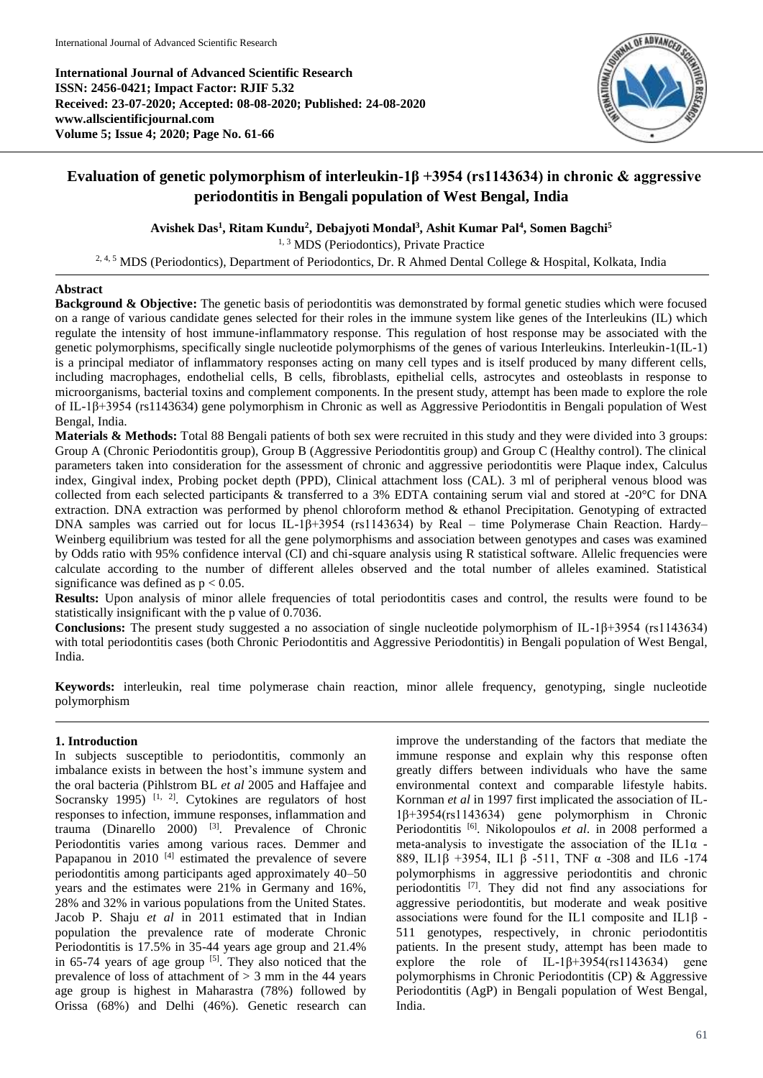**International Journal of Advanced Scientific Research ISSN: 2456-0421; Impact Factor: RJIF 5.32 Received: 23-07-2020; Accepted: 08-08-2020; Published: 24-08-2020 www.allscientificjournal.com Volume 5; Issue 4; 2020; Page No. 61-66**



# **Evaluation of genetic polymorphism of interleukin-1β +3954 (rs1143634) in chronic & aggressive periodontitis in Bengali population of West Bengal, India**

**Avishek Das<sup>1</sup> , Ritam Kundu<sup>2</sup> , Debajyoti Mondal 3 , Ashit Kumar Pal<sup>4</sup> , Somen Bagchi<sup>5</sup>**

<sup>1, 3</sup> MDS (Periodontics), Private Practice

<sup>2, 4, 5</sup> MDS (Periodontics), Department of Periodontics, Dr. R Ahmed Dental College & Hospital, Kolkata, India

# **Abstract**

**Background & Objective:** The genetic basis of periodontitis was demonstrated by formal genetic studies which were focused on a range of various candidate genes selected for their roles in the immune system like genes of the Interleukins (IL) which regulate the intensity of host immune-inflammatory response. This regulation of host response may be associated with the genetic polymorphisms, specifically single nucleotide polymorphisms of the genes of various Interleukins. Interleukin-1(IL-1) is a principal mediator of inflammatory responses acting on many cell types and is itself produced by many different cells, including macrophages, endothelial cells, B cells, fibroblasts, epithelial cells, astrocytes and osteoblasts in response to microorganisms, bacterial toxins and complement components. In the present study, attempt has been made to explore the role of IL-1β+3954 (rs1143634) gene polymorphism in Chronic as well as Aggressive Periodontitis in Bengali population of West Bengal, India.

**Materials & Methods:** Total 88 Bengali patients of both sex were recruited in this study and they were divided into 3 groups: Group A (Chronic Periodontitis group), Group B (Aggressive Periodontitis group) and Group C (Healthy control). The clinical parameters taken into consideration for the assessment of chronic and aggressive periodontitis were Plaque index, Calculus index, Gingival index, Probing pocket depth (PPD), Clinical attachment loss (CAL). 3 ml of peripheral venous blood was collected from each selected participants & transferred to a 3% EDTA containing serum vial and stored at -20°C for DNA extraction. DNA extraction was performed by phenol chloroform method & ethanol Precipitation. Genotyping of extracted DNA samples was carried out for locus IL-1β+3954 (rs1143634) by Real – time Polymerase Chain Reaction. Hardy– Weinberg equilibrium was tested for all the gene polymorphisms and association between genotypes and cases was examined by Odds ratio with 95% confidence interval (CI) and chi-square analysis using R statistical software. Allelic frequencies were calculate according to the number of different alleles observed and the total number of alleles examined. Statistical significance was defined as  $p < 0.05$ .

**Results:** Upon analysis of minor allele frequencies of total periodontitis cases and control, the results were found to be statistically insignificant with the p value of 0.7036.

**Conclusions:** The present study suggested a no association of single nucleotide polymorphism of IL-1β+3954 (rs1143634) with total periodontitis cases (both Chronic Periodontitis and Aggressive Periodontitis) in Bengali population of West Bengal, India.

**Keywords:** interleukin, real time polymerase chain reaction, minor allele frequency, genotyping, single nucleotide polymorphism

# **1. Introduction**

In subjects susceptible to periodontitis, commonly an imbalance exists in between the host's immune system and the oral bacteria (Pihlstrom BL *et al* 2005 and Haffajee and Socransky 1995)  $[1, 2]$ . Cytokines are regulators of host responses to infection, immune responses, inflammation and trauma (Dinarello 2000) [3] . Prevalence of Chronic Periodontitis varies among various races. Demmer and Papapanou in 2010<sup>[4]</sup> estimated the prevalence of severe periodontitis among participants aged approximately 40–50 years and the estimates were 21% in Germany and 16%, 28% and 32% in various populations from the United States. Jacob P. Shaju *et al* in 2011 estimated that in Indian population the prevalence rate of moderate Chronic Periodontitis is 17.5% in 35-44 years age group and 21.4% in  $65-74$  years of age group  $[5]$ . They also noticed that the prevalence of loss of attachment of  $> 3$  mm in the 44 years age group is highest in Maharastra (78%) followed by Orissa (68%) and Delhi (46%). Genetic research can

improve the understanding of the factors that mediate the immune response and explain why this response often greatly differs between individuals who have the same environmental context and comparable lifestyle habits. Kornman *et al* in 1997 first implicated the association of IL-1β+3954(rs1143634) gene polymorphism in Chronic Periodontitis <sup>[6]</sup>. Nikolopoulos et al. in 2008 performed a meta-analysis to investigate the association of the IL1 $\alpha$  -889, IL1β +3954, IL1 β -511, TNF α -308 and IL6 -174 polymorphisms in aggressive periodontitis and chronic periodontitis [7] . They did not find any associations for aggressive periodontitis, but moderate and weak positive associations were found for the IL1 composite and IL1β - 511 genotypes, respectively, in chronic periodontitis patients. In the present study, attempt has been made to explore the role of IL-1 $\beta$ +3954(rs1143634) gene polymorphisms in Chronic Periodontitis (CP) & Aggressive Periodontitis (AgP) in Bengali population of West Bengal, India.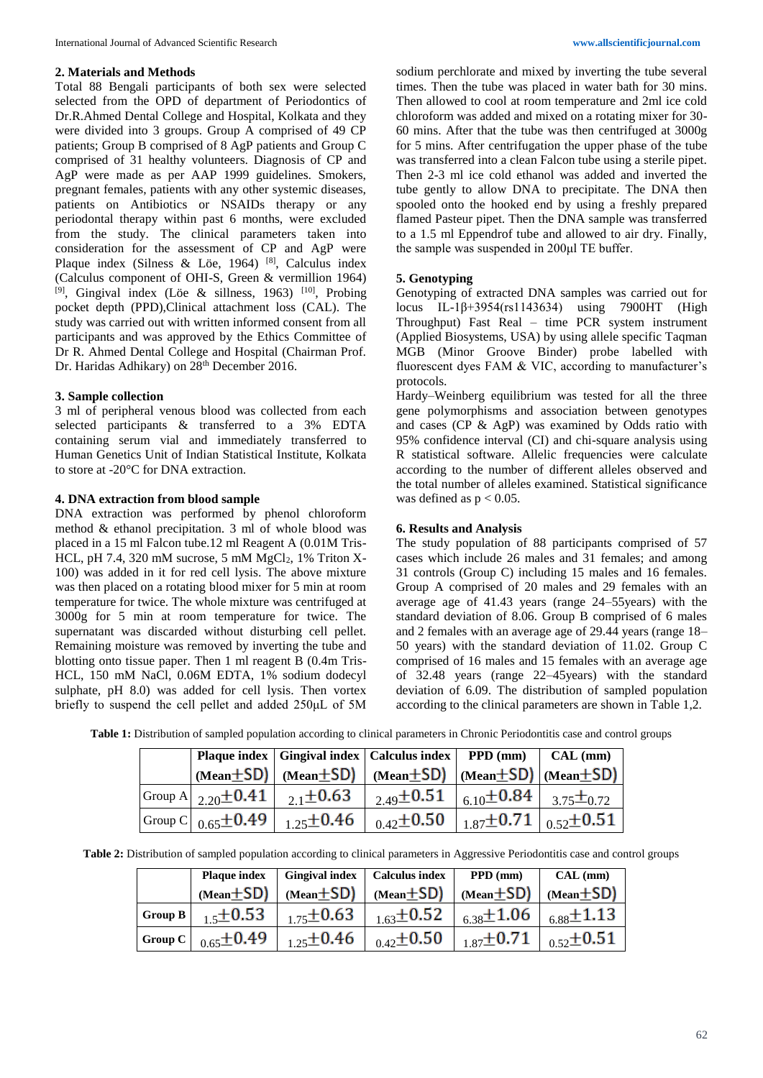### **2. Materials and Methods**

Total 88 Bengali participants of both sex were selected selected from the OPD of department of Periodontics of Dr.R.Ahmed Dental College and Hospital, Kolkata and they were divided into 3 groups. Group A comprised of 49 CP patients; Group B comprised of 8 AgP patients and Group C comprised of 31 healthy volunteers. Diagnosis of CP and AgP were made as per AAP 1999 guidelines. Smokers, pregnant females, patients with any other systemic diseases, patients on Antibiotics or NSAIDs therapy or any periodontal therapy within past 6 months, were excluded from the study. The clinical parameters taken into consideration for the assessment of CP and AgP were Plaque index (Silness & Löe, 1964)<sup>[8]</sup>, Calculus index (Calculus component of OHI-S, Green & vermillion 1964) <sup>[9]</sup>, Gingival index (Löe & sillness, 1963)<sup>[10]</sup>, Probing pocket depth (PPD),Clinical attachment loss (CAL). The study was carried out with written informed consent from all participants and was approved by the Ethics Committee of Dr R. Ahmed Dental College and Hospital (Chairman Prof. Dr. Haridas Adhikary) on 28<sup>th</sup> December 2016.

## **3. Sample collection**

3 ml of peripheral venous blood was collected from each selected participants & transferred to a 3% EDTA containing serum vial and immediately transferred to Human Genetics Unit of Indian Statistical Institute, Kolkata to store at -20°C for DNA extraction.

#### **4. DNA extraction from blood sample**

DNA extraction was performed by phenol chloroform method & ethanol precipitation. 3 ml of whole blood was placed in a 15 ml Falcon tube.12 ml Reagent A (0.01M Tris-HCL, pH 7.4, 320 mM sucrose, 5 mM  $MgCl<sub>2</sub>$ , 1% Triton X-100) was added in it for red cell lysis. The above mixture was then placed on a rotating blood mixer for 5 min at room temperature for twice. The whole mixture was centrifuged at 3000g for 5 min at room temperature for twice. The supernatant was discarded without disturbing cell pellet. Remaining moisture was removed by inverting the tube and blotting onto tissue paper. Then 1 ml reagent B (0.4m Tris-HCL, 150 mM NaCl, 0.06M EDTA, 1% sodium dodecyl sulphate, pH 8.0) was added for cell lysis. Then vortex briefly to suspend the cell pellet and added 250μL of 5M

sodium perchlorate and mixed by inverting the tube several times. Then the tube was placed in water bath for 30 mins. Then allowed to cool at room temperature and 2ml ice cold chloroform was added and mixed on a rotating mixer for 30- 60 mins. After that the tube was then centrifuged at 3000g for 5 mins. After centrifugation the upper phase of the tube was transferred into a clean Falcon tube using a sterile pipet. Then 2-3 ml ice cold ethanol was added and inverted the tube gently to allow DNA to precipitate. The DNA then spooled onto the hooked end by using a freshly prepared flamed Pasteur pipet. Then the DNA sample was transferred to a 1.5 ml Eppendrof tube and allowed to air dry. Finally, the sample was suspended in 200μl TE buffer.

### **5. Genotyping**

Genotyping of extracted DNA samples was carried out for locus IL-1β+3954(rs1143634) using 7900HT (High Throughput) Fast Real – time PCR system instrument (Applied Biosystems, USA) by using allele specific Taqman MGB (Minor Groove Binder) probe labelled with fluorescent dyes FAM & VIC, according to manufacturer's protocols.

Hardy–Weinberg equilibrium was tested for all the three gene polymorphisms and association between genotypes and cases (CP & AgP) was examined by Odds ratio with 95% confidence interval (CI) and chi-square analysis using R statistical software. Allelic frequencies were calculate according to the number of different alleles observed and the total number of alleles examined. Statistical significance was defined as  $p < 0.05$ .

# **6. Results and Analysis**

The study population of 88 participants comprised of 57 cases which include 26 males and 31 females; and among 31 controls (Group C) including 15 males and 16 females. Group A comprised of 20 males and 29 females with an average age of 41.43 years (range 24–55years) with the standard deviation of 8.06. Group B comprised of 6 males and 2 females with an average age of 29.44 years (range 18– 50 years) with the standard deviation of 11.02. Group C comprised of 16 males and 15 females with an average age of 32.48 years (range 22–45years) with the standard deviation of 6.09. The distribution of sampled population according to the clinical parameters are shown in Table 1,2.

|  |                                                                    | Plaque index   Gingival index   Calculus index   PPD (mm) $\vert$ CAL (mm)                                                                            |  |
|--|--------------------------------------------------------------------|-------------------------------------------------------------------------------------------------------------------------------------------------------|--|
|  |                                                                    | $(\text{Mean} \pm \text{SD})$ $(\text{Mean} \pm \text{SD})$ $(\text{Mean} \pm \text{SD})$ $(\text{Mean} \pm \text{SD})$ $(\text{Mean} \pm \text{SD})$ |  |
|  | Group A   $_{2.20}$ $\pm$ <b>0.41</b>   $_{2.1}$ $\pm$ <b>0.63</b> | $_{-2.49}\pm0.51\,\mid\,_{6.10}\pm0.84\,\mid\,_{3.75}\pm_{0.72}\,\mid$                                                                                |  |
|  | Group C   $_{0.65}$ + 0.49   $_{1.25}$ + 0.46                      | $\frac{1}{0.42}$ + 0.50 $\frac{1}{1.87}$ + 0.71 $\frac{1}{0.52}$ + 0.51                                                                               |  |

**Table 1:** Distribution of sampled population according to clinical parameters in Chronic Periodontitis case and control groups

|  |  |  |  |  |  | Table 2: Distribution of sampled population according to clinical parameters in Aggressive Periodontitis case and control groups |  |  |  |  |  |
|--|--|--|--|--|--|----------------------------------------------------------------------------------------------------------------------------------|--|--|--|--|--|
|--|--|--|--|--|--|----------------------------------------------------------------------------------------------------------------------------------|--|--|--|--|--|

|                | <b>Plaque index</b> | <b>Gingival index</b> | <b>Calculus index</b> | $PPD$ (mm)         | CAL (mm)                  |
|----------------|---------------------|-----------------------|-----------------------|--------------------|---------------------------|
|                | $(Mean \pm SD)$     | $(Mean \pm SD)$       | $(Mean \pm SD)$       | $(Mean \pm SD)$    | $(Mean + SD)$             |
| <b>Group B</b> | $+\xi$ + 0.53       | $175 \pm 0.63$        | $_{1.63} \pm 0.52$    | $_{6.38} \pm 1.06$ | $_{6.88} \pm 1.13$        |
| Group C        | $_{0.65} \pm 0.49$  | $125 \pm 0.46$        | $_{0.42}$ + 0.50      | $1.87 \pm 0.71$    | $\frac{1}{0.52} \pm 0.51$ |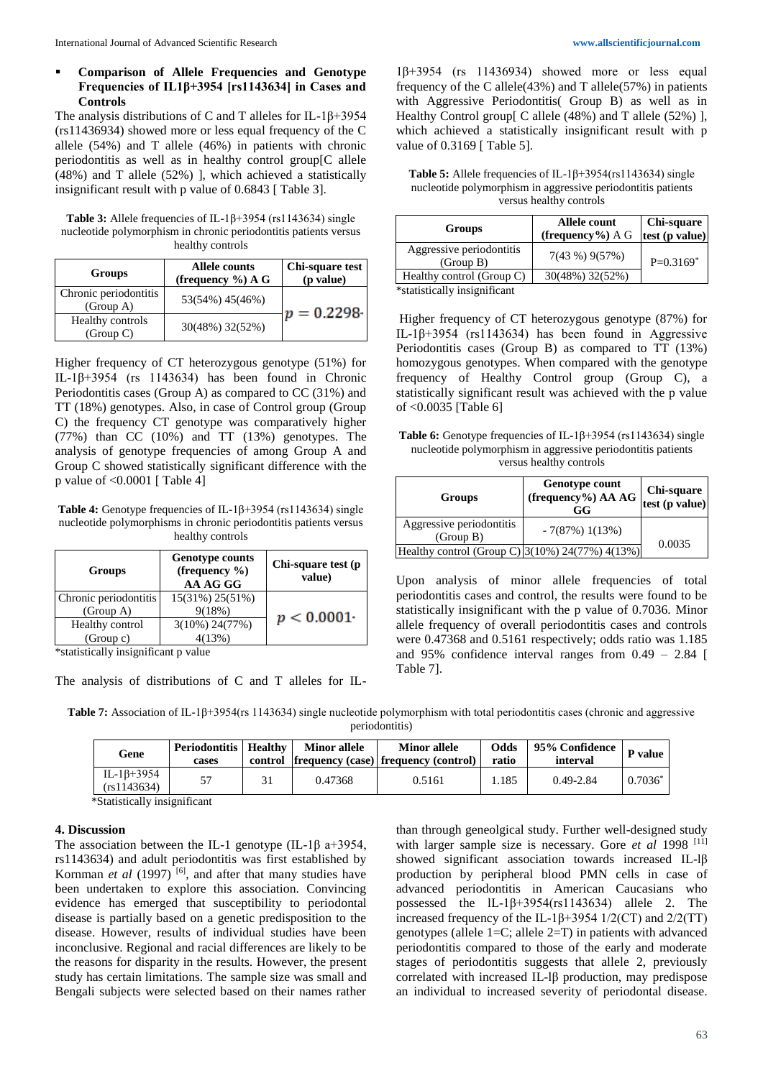# **Comparison of Allele Frequencies and Genotype Frequencies of IL1β+3954 [rs1143634] in Cases and Controls**

The analysis distributions of C and T alleles for IL-1β+3954 (rs11436934) showed more or less equal frequency of the C allele (54%) and T allele (46%) in patients with chronic periodontitis as well as in healthy control group[C allele (48%) and T allele (52%) ], which achieved a statistically insignificant result with p value of 0.6843 [ Table 3].

**Table 3:** Allele frequencies of IL-1β+3954 (rs1143634) single nucleotide polymorphism in chronic periodontitis patients versus healthy controls

| Groups                             | <b>Allele counts</b><br>(frequency $\%$ ) A G | Chi-square test<br>(p value) |
|------------------------------------|-----------------------------------------------|------------------------------|
| Chronic periodontitis<br>(Group A) | 53(54%) 45(46%)                               | $p = 0.2298$                 |
| Healthy controls<br>(Group C)      | 30(48%) 32(52%)                               |                              |

Higher frequency of CT heterozygous genotype (51%) for IL-1β+3954 (rs 1143634) has been found in Chronic Periodontitis cases (Group A) as compared to CC (31%) and TT (18%) genotypes. Also, in case of Control group (Group C) the frequency CT genotype was comparatively higher (77%) than CC (10%) and TT (13%) genotypes. The analysis of genotype frequencies of among Group A and Group C showed statistically significant difference with the p value of  $\leq 0.0001$  [ Table 4]

**Table 4:** Genotype frequencies of IL-1β+3954 (rs1143634) single nucleotide polymorphisms in chronic periodontitis patients versus healthy controls

| Groups                | <b>Genotype counts</b><br>(frequency $\%$ )<br>AA AG GG | Chi-square test (p<br>value) |  |
|-----------------------|---------------------------------------------------------|------------------------------|--|
| Chronic periodontitis | 15(31%) 25(51%)                                         |                              |  |
| (Group A)             | 9(18%)                                                  | $p < 0.0001*$                |  |
| Healthy control       | $3(10\%) 24(77\%)$                                      |                              |  |
| (Group c)             | 4(13%)                                                  |                              |  |

\*statistically insignificant p value

The analysis of distributions of C and T alleles for IL-

1β+3954 (rs 11436934) showed more or less equal frequency of the C allele(43%) and T allele(57%) in patients with Aggressive Periodontitis( Group B) as well as in Healthy Control group[ C allele (48%) and T allele (52%) ], which achieved a statistically insignificant result with p value of 0.3169 [ Table 5].

| <b>Table 5:</b> Allele frequencies of IL-1 $\beta$ +3954(rs1143634) single |
|----------------------------------------------------------------------------|
| nucleotide polymorphism in aggressive periodontitis patients               |
| versus healthy controls                                                    |

| Groups                                | Allele count<br>(frequency%) $A G$ | Chi-square<br>test $(\overline{p}$ value) |
|---------------------------------------|------------------------------------|-------------------------------------------|
| Aggressive periodontitis<br>(Group B) | 7(43%)9(57%)                       | $P=0.3169*$                               |
| Healthy control (Group C)             | 30(48%) 32(52%)                    |                                           |
| *statistically insignificant          |                                    |                                           |

Higher frequency of CT heterozygous genotype (87%) for IL-1β+3954 (rs1143634) has been found in Aggressive Periodontitis cases (Group B) as compared to TT (13%) homozygous genotypes. When compared with the genotype frequency of Healthy Control group (Group C), a statistically significant result was achieved with the p value of <0.0035 [Table 6]

| <b>Table 6:</b> Genotype frequencies of IL-1 $\beta$ +3954 (rs1143634) single |
|-------------------------------------------------------------------------------|
| nucleotide polymorphism in aggressive periodontitis patients                  |
| versus healthy controls                                                       |

| Groups                                          | <b>Genotype count</b><br>(frequency%) AA AG<br>GG | Chi-square<br>test $(\overline{p}$ value) |
|-------------------------------------------------|---------------------------------------------------|-------------------------------------------|
| Aggressive periodontitis<br>(Group B)           | $-7(87%)1(13%)$                                   |                                           |
| Healthy control (Group C) 3(10%) 24(77%) 4(13%) |                                                   | 0.0035                                    |

Upon analysis of minor allele frequencies of total periodontitis cases and control, the results were found to be statistically insignificant with the p value of 0.7036. Minor allele frequency of overall periodontitis cases and controls were 0.47368 and 0.5161 respectively; odds ratio was 1.185 and 95% confidence interval ranges from 0.49 – 2.84 [ Table 7].

| Table 7: Association of IL-1 $\beta$ +3954(rs 1143634) single nucleotide polymorphism with total periodontitis cases (chronic and aggressive |
|----------------------------------------------------------------------------------------------------------------------------------------------|
| periodontitis)                                                                                                                               |

| Gene                              | <b>Periodontitis   Healthy  </b><br>cases | <b>Minor allele</b> | <b>Minor allele</b><br>control frequency (case) frequency (control) | Odds<br>ratio | 95% Confidence<br>interval | P value    |
|-----------------------------------|-------------------------------------------|---------------------|---------------------------------------------------------------------|---------------|----------------------------|------------|
| IL-1 $\beta$ +3954<br>(rs1143634) |                                           | 0.47368             | 0.5161                                                              | .185          | $0.49 - 2.84$              | $0.7036^*$ |

\*Statistically insignificant

# **4. Discussion**

The association between the IL-1 genotype (IL-1 $\beta$  a+3954, rs1143634) and adult periodontitis was first established by Kornman *et al* (1997)<sup>[6]</sup>, and after that many studies have been undertaken to explore this association. Convincing evidence has emerged that susceptibility to periodontal disease is partially based on a genetic predisposition to the disease. However, results of individual studies have been inconclusive. Regional and racial differences are likely to be the reasons for disparity in the results. However, the present study has certain limitations. The sample size was small and Bengali subjects were selected based on their names rather

than through geneolgical study. Further well-designed study with larger sample size is necessary. Gore *et al* 1998<sup>[11]</sup> showed significant association towards increased IL-lβ production by peripheral blood PMN cells in case of advanced periodontitis in American Caucasians who possessed the lL-1 $\beta$ +3954(rs1143634) allele 2. The increased frequency of the IL-1β+3954 1/2(CT) and 2/2(TT) genotypes (allele 1=C; allele 2=T) in patients with advanced periodontitis compared to those of the early and moderate stages of periodontitis suggests that allele 2, previously correlated with increased IL-lβ production, may predispose an individual to increased severity of periodontal disease.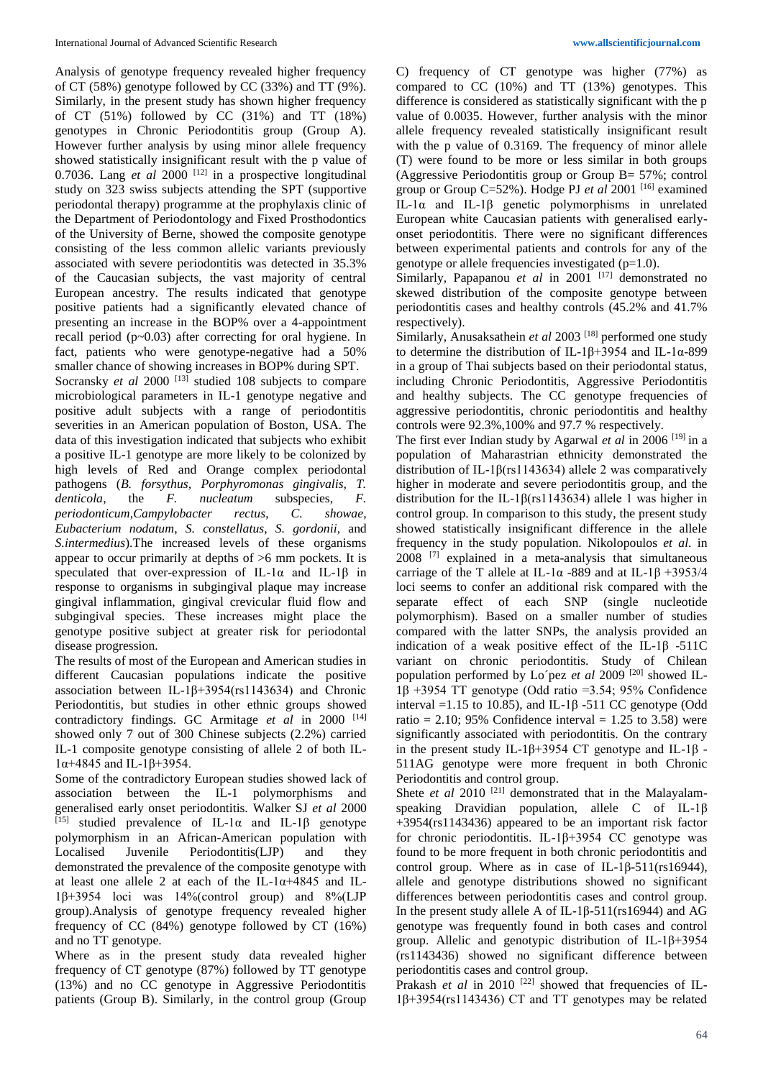Analysis of genotype frequency revealed higher frequency of CT (58%) genotype followed by CC (33%) and TT (9%). Similarly, in the present study has shown higher frequency of CT (51%) followed by CC (31%) and TT (18%) genotypes in Chronic Periodontitis group (Group A). However further analysis by using minor allele frequency showed statistically insignificant result with the p value of 0.7036. Lang *et al* 2000 [12] in a prospective longitudinal study on 323 swiss subjects attending the SPT (supportive periodontal therapy) programme at the prophylaxis clinic of the Department of Periodontology and Fixed Prosthodontics of the University of Berne, showed the composite genotype consisting of the less common allelic variants previously associated with severe periodontitis was detected in 35.3% of the Caucasian subjects, the vast majority of central European ancestry. The results indicated that genotype positive patients had a significantly elevated chance of presenting an increase in the BOP% over a 4-appointment recall period (p~0.03) after correcting for oral hygiene. In fact, patients who were genotype-negative had a 50% smaller chance of showing increases in BOP% during SPT. Socransky *et al* 2000<sup>[13]</sup> studied 108 subjects to compare microbiological parameters in IL-1 genotype negative and positive adult subjects with a range of periodontitis severities in an American population of Boston, USA. The data of this investigation indicated that subjects who exhibit a positive IL-1 genotype are more likely to be colonized by high levels of Red and Orange complex periodontal pathogens (*B. forsythus, Porphyromonas gingivalis, T. denticola*, the *F. nucleatum* subspecies, *F. periodonticum*,*Campylobacter rectus*, *C. showae*, *Eubacterium nodatum*, *S. constellatus*, *S. gordonii*, and *S.intermedius*).The increased levels of these organisms appear to occur primarily at depths of >6 mm pockets. It is

speculated that over-expression of IL-1 $\alpha$  and IL-1 $\beta$  in response to organisms in subgingival plaque may increase gingival inflammation, gingival crevicular fluid flow and subgingival species. These increases might place the genotype positive subject at greater risk for periodontal disease progression.

The results of most of the European and American studies in different Caucasian populations indicate the positive association between IL-1β+3954(rs1143634) and Chronic Periodontitis, but studies in other ethnic groups showed contradictory findings. GC Armitage et al in 2000 [14] showed only 7 out of 300 Chinese subjects (2.2%) carried IL-1 composite genotype consisting of allele 2 of both IL- $1α+4845$  and IL-1β+3954.

Some of the contradictory European studies showed lack of association between the IL-1 polymorphisms and generalised early onset periodontitis. Walker SJ *et al* 2000 <sup>[15]</sup> studied prevalence of IL-1α and IL-1β genotype polymorphism in an African-American population with Localised Juvenile Periodontitis(LJP) and they demonstrated the prevalence of the composite genotype with at least one allele 2 at each of the IL- $1\alpha + 4845$  and IL-1β+3954 loci was 14%(control group) and 8%(LJP group).Analysis of genotype frequency revealed higher frequency of CC (84%) genotype followed by CT (16%) and no TT genotype.

Where as in the present study data revealed higher frequency of CT genotype (87%) followed by TT genotype (13%) and no CC genotype in Aggressive Periodontitis patients (Group B). Similarly, in the control group (Group C) frequency of CT genotype was higher (77%) as compared to CC (10%) and TT (13%) genotypes. This difference is considered as statistically significant with the p value of 0.0035. However, further analysis with the minor allele frequency revealed statistically insignificant result with the p value of 0.3169. The frequency of minor allele (T) were found to be more or less similar in both groups (Aggressive Periodontitis group or Group B= 57%; control group or Group C=52%). Hodge PJ *et al* 2001 [16] examined IL-1α and IL-1β genetic polymorphisms in unrelated European white Caucasian patients with generalised earlyonset periodontitis. There were no significant differences between experimental patients and controls for any of the genotype or allele frequencies investigated  $(p=1.0)$ .

Similarly, Papapanou *et al* in 2001<sup>[17]</sup> demonstrated no skewed distribution of the composite genotype between periodontitis cases and healthy controls (45.2% and 41.7% respectively).

Similarly, Anusaksathein *et al* 2003<sup>[18]</sup> performed one study to determine the distribution of IL-1β+3954 and IL-1α-899 in a group of Thai subjects based on their periodontal status, including Chronic Periodontitis, Aggressive Periodontitis and healthy subjects. The CC genotype frequencies of aggressive periodontitis, chronic periodontitis and healthy controls were 92.3%,100% and 97.7 % respectively.

The first ever Indian study by Agarwal *et al* in 2006 [19] in a population of Maharastrian ethnicity demonstrated the distribution of IL-1β(rs1143634) allele 2 was comparatively higher in moderate and severe periodontitis group, and the distribution for the IL-1β(rs1143634) allele 1 was higher in control group. In comparison to this study, the present study showed statistically insignificant difference in the allele frequency in the study population. Nikolopoulos *et al*. in 2008 [7] explained in a meta-analysis that simultaneous carriage of the T allele at IL-1α -889 and at IL-1β +3953/4 loci seems to confer an additional risk compared with the separate effect of each SNP (single nucleotide polymorphism). Based on a smaller number of studies compared with the latter SNPs, the analysis provided an indication of a weak positive effect of the IL-1 $\beta$  -511C variant on chronic periodontitis. Study of Chilean population performed by Lo'pez et al 2009<sup>[20]</sup> showed IL-1β +3954 TT genotype (Odd ratio =3.54; 95% Confidence interval =1.15 to 10.85), and IL-1β -511 CC genotype (Odd ratio = 2.10; 95% Confidence interval = 1.25 to 3.58) were significantly associated with periodontitis. On the contrary in the present study IL-1β+3954 CT genotype and IL-1β -511AG genotype were more frequent in both Chronic Periodontitis and control group.

Shete *et al* 2010<sup>[21]</sup> demonstrated that in the Malayalamspeaking Dravidian population, allele C of IL-1β +3954(rs1143436) appeared to be an important risk factor for chronic periodontitis. IL-1β+3954 CC genotype was found to be more frequent in both chronic periodontitis and control group. Where as in case of IL-1 $\beta$ -511(rs16944), allele and genotype distributions showed no significant differences between periodontitis cases and control group. In the present study allele A of IL-1β-511(rs16944) and AG genotype was frequently found in both cases and control group. Allelic and genotypic distribution of IL-1β+3954 (rs1143436) showed no significant difference between periodontitis cases and control group.

Prakash *et al* in 2010<sup>[22]</sup> showed that frequencies of IL-1β+3954(rs1143436) CT and TT genotypes may be related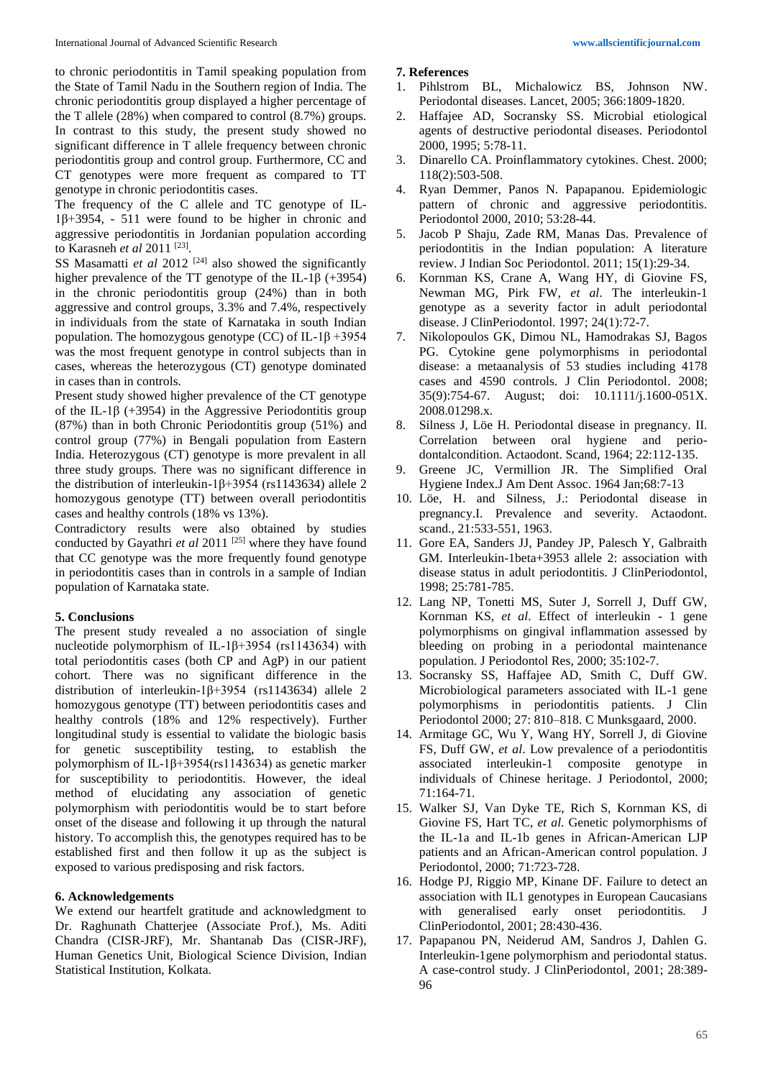to chronic periodontitis in Tamil speaking population from the State of Tamil Nadu in the Southern region of India. The chronic periodontitis group displayed a higher percentage of the T allele (28%) when compared to control (8.7%) groups. In contrast to this study, the present study showed no significant difference in T allele frequency between chronic periodontitis group and control group. Furthermore, CC and CT genotypes were more frequent as compared to TT genotype in chronic periodontitis cases.

The frequency of the C allele and TC genotype of IL-1β+3954, - 511 were found to be higher in chronic and aggressive periodontitis in Jordanian population according to Karasneh *et al* 2011 [23] .

SS Masamatti *et al* 2012 [24] also showed the significantly higher prevalence of the TT genotype of the IL-1 $\beta$  (+3954) in the chronic periodontitis group (24%) than in both aggressive and control groups, 3.3% and 7.4%, respectively in individuals from the state of Karnataka in south Indian population. The homozygous genotype (CC) of IL-1 $\beta$  +3954 was the most frequent genotype in control subjects than in cases, whereas the heterozygous (CT) genotype dominated in cases than in controls.

Present study showed higher prevalence of the CT genotype of the IL-1 $\beta$  (+3954) in the Aggressive Periodontitis group (87%) than in both Chronic Periodontitis group (51%) and control group (77%) in Bengali population from Eastern India. Heterozygous (CT) genotype is more prevalent in all three study groups. There was no significant difference in the distribution of interleukin-1β+3954 (rs1143634) allele 2 homozygous genotype (TT) between overall periodontitis cases and healthy controls (18% vs 13%).

Contradictory results were also obtained by studies conducted by Gayathri *et al* 2011<sup>[25]</sup> where they have found that CC genotype was the more frequently found genotype in periodontitis cases than in controls in a sample of Indian population of Karnataka state.

#### **5. Conclusions**

The present study revealed a no association of single nucleotide polymorphism of IL-1β+3954 (rs1143634) with total periodontitis cases (both CP and AgP) in our patient cohort. There was no significant difference in the distribution of interleukin-1β+3954 (rs1143634) allele 2 homozygous genotype (TT) between periodontitis cases and healthy controls (18% and 12% respectively). Further longitudinal study is essential to validate the biologic basis for genetic susceptibility testing, to establish the polymorphism of IL-1β+3954(rs1143634) as genetic marker for susceptibility to periodontitis. However, the ideal method of elucidating any association of genetic polymorphism with periodontitis would be to start before onset of the disease and following it up through the natural history. To accomplish this, the genotypes required has to be established first and then follow it up as the subject is exposed to various predisposing and risk factors.

#### **6. Acknowledgements**

We extend our heartfelt gratitude and acknowledgment to Dr. Raghunath Chatterjee (Associate Prof.), Ms. Aditi Chandra (CISR-JRF), Mr. Shantanab Das (CISR-JRF), Human Genetics Unit, Biological Science Division, Indian Statistical Institution, Kolkata.

#### **7. References**

- 1. Pihlstrom BL, Michalowicz BS, Johnson NW. Periodontal diseases. Lancet, 2005; 366:1809-1820.
- 2. Haffajee AD, Socransky SS. Microbial etiological agents of destructive periodontal diseases. Periodontol 2000, 1995; 5:78-11.
- 3. Dinarello CA. Proinflammatory cytokines. Chest. 2000; 118(2):503-508.
- 4. Ryan Demmer, Panos N. Papapanou. Epidemiologic pattern of chronic and aggressive periodontitis. Periodontol 2000, 2010; 53:28-44.
- 5. Jacob P Shaju, Zade RM, Manas Das. Prevalence of periodontitis in the Indian population: A literature review. J Indian Soc Periodontol. 2011; 15(1):29-34.
- 6. Kornman KS, Crane A, Wang HY, di Giovine FS, Newman MG, Pirk FW, *et al*. The interleukin-1 genotype as a severity factor in adult periodontal disease. J ClinPeriodontol. 1997; 24(1):72-7.
- 7. Nikolopoulos GK, Dimou NL, Hamodrakas SJ, Bagos PG. Cytokine gene polymorphisms in periodontal disease: a metaanalysis of 53 studies including 4178 cases and 4590 controls. J Clin Periodontol. 2008; 35(9):754-67. August; doi: 10.1111/j.1600-051X. 2008.01298.x.
- 8. Silness J, Löe H. Periodontal disease in pregnancy. II. Correlation between oral hygiene and periodontalcondition. Actaodont. Scand, 1964; 22:112-135.
- 9. Greene JC, Vermillion JR. The Simplified Oral Hygiene Index.J Am Dent Assoc. 1964 Jan;68:7-13
- 10. Löe, H. and Silness, J.: Periodontal disease in pregnancy.I. Prevalence and severity. Actaodont. scand., 21:533-551, 1963.
- 11. Gore EA, Sanders JJ, Pandey JP, Palesch Y, Galbraith GM. Interleukin-1beta+3953 allele 2: association with disease status in adult periodontitis. J ClinPeriodontol, 1998; 25:781-785.
- 12. Lang NP, Tonetti MS, Suter J, Sorrell J, Duff GW, Kornman KS, *et al*. Effect of interleukin - 1 gene polymorphisms on gingival inflammation assessed by bleeding on probing in a periodontal maintenance population. J Periodontol Res, 2000; 35:102-7.
- 13. Socransky SS, Haffajee AD, Smith C, Duff GW. Microbiological parameters associated with IL-1 gene polymorphisms in periodontitis patients. J Clin Periodontol 2000; 27: 810–818. C Munksgaard, 2000.
- 14. Armitage GC, Wu Y, Wang HY, Sorrell J, di Giovine FS, Duff GW, *et al.* Low prevalence of a periodontitis associated interleukin-1 composite genotype in individuals of Chinese heritage. J Periodontol, 2000; 71:164-71.
- 15. Walker SJ, Van Dyke TE, Rich S, Kornman KS, di Giovine FS, Hart TC, *et al*. Genetic polymorphisms of the IL-1a and IL-1b genes in African-American LJP patients and an African-American control population. J Periodontol, 2000; 71:723-728.
- 16. Hodge PJ, Riggio MP, Kinane DF. Failure to detect an association with IL1 genotypes in European Caucasians with generalised early onset periodontitis. J ClinPeriodontol, 2001; 28:430-436.
- 17. Papapanou PN, Neiderud AM, Sandros J, Dahlen G. Interleukin-1gene polymorphism and periodontal status. A case-control study. J ClinPeriodontol, 2001; 28:389- 96